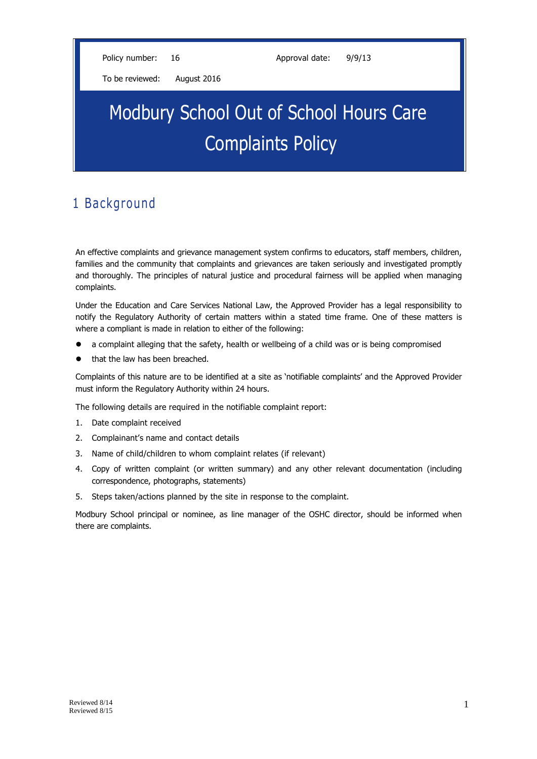Policy number: 16 Approval date: 9/9/13

To be reviewed: August 2016

# Modbury School Out of School Hours Care Complaints Policy

## 1 Background

An effective complaints and grievance management system confirms to educators, staff members, children, families and the community that complaints and grievances are taken seriously and investigated promptly and thoroughly. The principles of natural justice and procedural fairness will be applied when managing complaints.

Under the Education and Care Services National Law, the Approved Provider has a legal responsibility to notify the Regulatory Authority of certain matters within a stated time frame. One of these matters is where a compliant is made in relation to either of the following:

- a complaint alleging that the safety, health or wellbeing of a child was or is being compromised
- that the law has been breached.

Complaints of this nature are to be identified at a site as 'notifiable complaints' and the Approved Provider must inform the Regulatory Authority within 24 hours.

The following details are required in the notifiable complaint report:

- 1. Date complaint received
- 2. Complainant's name and contact details
- 3. Name of child/children to whom complaint relates (if relevant)
- 4. Copy of written complaint (or written summary) and any other relevant documentation (including correspondence, photographs, statements)
- 5. Steps taken/actions planned by the site in response to the complaint.

Modbury School principal or nominee, as line manager of the OSHC director, should be informed when there are complaints.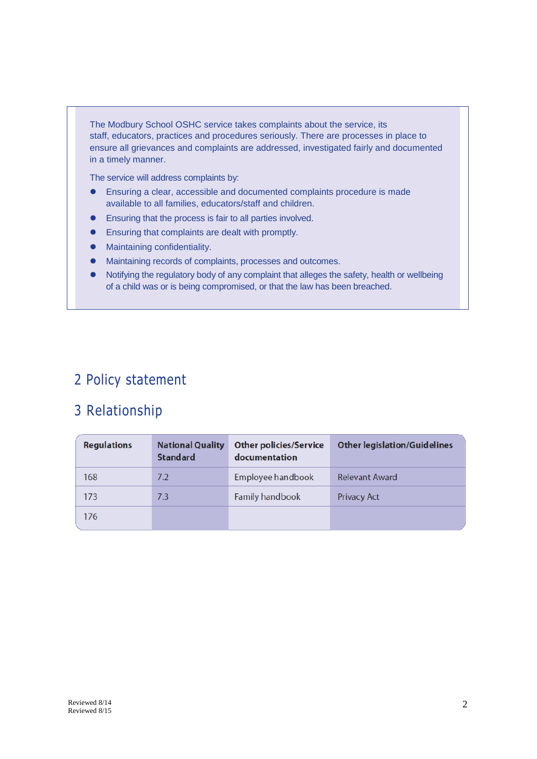The Modbury School OSHC service takes complaints about the service, its staff, educators, practices and procedures seriously. There are processes in place to ensure all grievances and complaints are addressed, investigated fairly and documented in a timely manner.

The service will address complaints by:

- Ensuring a clear, accessible and documented complaints procedure is made available to all families, educators/staff and children.
- Ensuring that the process is fair to all parties involved.
- Ensuring that complaints are dealt with promptly.
- Maintaining confidentiality.
- Maintaining records of complaints, processes and outcomes.
- Notifying the regulatory body of any complaint that alleges the safety, health or wellbeing of a child was or is being compromised, or that the law has been breached.

# 2 Policy statement

## 3 Relationship

| <b>Regulations</b> | <b>National Quality</b><br><b>Standard</b> | <b>Other policies/Service</b><br>documentation | <b>Other legislation/Guidelines</b> |
|--------------------|--------------------------------------------|------------------------------------------------|-------------------------------------|
| 168                | 7.2                                        | Employee handbook                              | <b>Relevant Award</b>               |
| 173                | 7.3                                        | <b>Family handbook</b>                         | <b>Privacy Act</b>                  |
| 176                |                                            |                                                |                                     |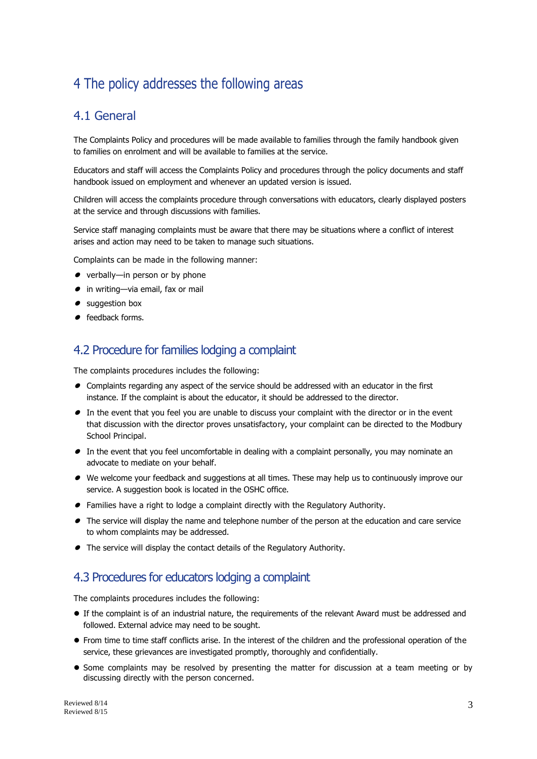# 4 The policy addresses the following areas

## 4.1 General

The Complaints Policy and procedures will be made available to families through the family handbook given to families on enrolment and will be available to families at the service.

Educators and staff will access the Complaints Policy and procedures through the policy documents and staff handbook issued on employment and whenever an updated version is issued.

Children will access the complaints procedure through conversations with educators, clearly displayed posters at the service and through discussions with families.

Service staff managing complaints must be aware that there may be situations where a conflict of interest arises and action may need to be taken to manage such situations.

Complaints can be made in the following manner:

- $\bullet$  verbally—in person or by phone
- in writing—via email, fax or mail
- suggestion box
- **•** feedback forms.

#### 4.2 Procedure for families lodging a complaint

The complaints procedures includes the following:

- Complaints regarding any aspect of the service should be addressed with an educator in the first instance. If the complaint is about the educator, it should be addressed to the director.
- In the event that you feel you are unable to discuss your complaint with the director or in the event that discussion with the director proves unsatisfactory, your complaint can be directed to the Modbury School Principal.
- In the event that you feel uncomfortable in dealing with a complaint personally, you may nominate an advocate to mediate on your behalf.
- We welcome your feedback and suggestions at all times. These may help us to continuously improve our service. A suggestion book is located in the OSHC office.
- Families have a right to lodge a complaint directly with the Regulatory Authority.
- The service will display the name and telephone number of the person at the education and care service to whom complaints may be addressed.
- The service will display the contact details of the Regulatory Authority.

### 4.3 Procedures for educators lodging a complaint

The complaints procedures includes the following:

- If the complaint is of an industrial nature, the requirements of the relevant Award must be addressed and followed. External advice may need to be sought.
- From time to time staff conflicts arise. In the interest of the children and the professional operation of the service, these grievances are investigated promptly, thoroughly and confidentially.
- Some complaints may be resolved by presenting the matter for discussion at a team meeting or by discussing directly with the person concerned.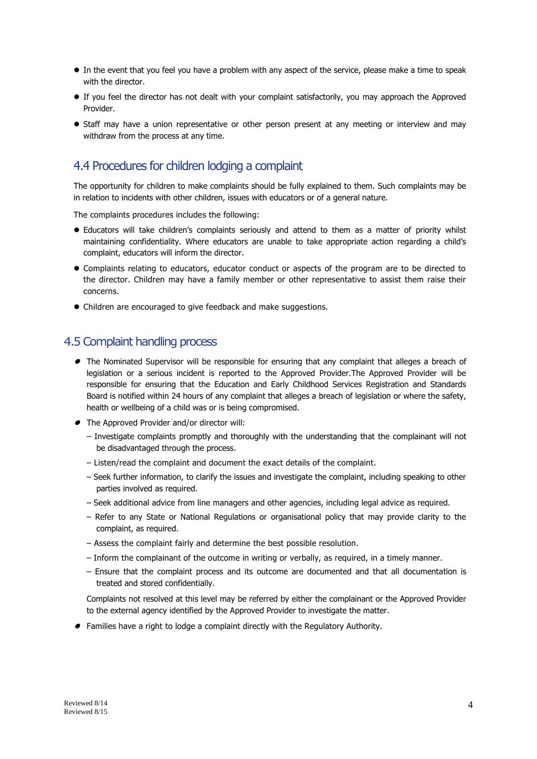- In the event that you feel you have a problem with any aspect of the service, please make a time to speak with the director.
- If you feel the director has not dealt with your complaint satisfactorily, you may approach the Approved Provider.
- Staff may have a union representative or other person present at any meeting or interview and may withdraw from the process at any time.

## 4.4 Procedures for children lodging a complaint

The opportunity for children to make complaints should be fully explained to them. Such complaints may be in relation to incidents with other children, issues with educators or of a general nature.

The complaints procedures includes the following:

- Educators will take children's complaints seriously and attend to them as a matter of priority whilst maintaining confidentiality. Where educators are unable to take appropriate action regarding a child's complaint, educators will inform the director.
- Complaints relating to educators, educator conduct or aspects of the program are to be directed to the director. Children may have a family member or other representative to assist them raise their concerns.
- Children are encouraged to give feedback and make suggestions.

#### 4.5 Complaint handling process

- The Nominated Supervisor will be responsible for ensuring that any complaint that alleges a breach of legislation or a serious incident is reported to the Approved Provider.The Approved Provider will be responsible for ensuring that the Education and Early Childhood Services Registration and Standards Board is notified within 24 hours of any complaint that alleges a breach of legislation or where the safety, health or wellbeing of a child was or is being compromised.
- The Approved Provider and/or director will:
	- Investigate complaints promptly and thoroughly with the understanding that the complainant will not be disadvantaged through the process.
	- Listen/read the complaint and document the exact details of the complaint.
	- Seek further information, to clarify the issues and investigate the complaint, including speaking to other parties involved as required.
	- Seek additional advice from line managers and other agencies, including legal advice as required.
	- Refer to any State or National Regulations or organisational policy that may provide clarity to the complaint, as required.
	- Assess the complaint fairly and determine the best possible resolution.
	- Inform the complainant of the outcome in writing or verbally, as required, in a timely manner.
	- Ensure that the complaint process and its outcome are documented and that all documentation is treated and stored confidentially.

Complaints not resolved at this level may be referred by either the complainant or the Approved Provider to the external agency identified by the Approved Provider to investigate the matter.

Families have a right to lodge a complaint directly with the Regulatory Authority.